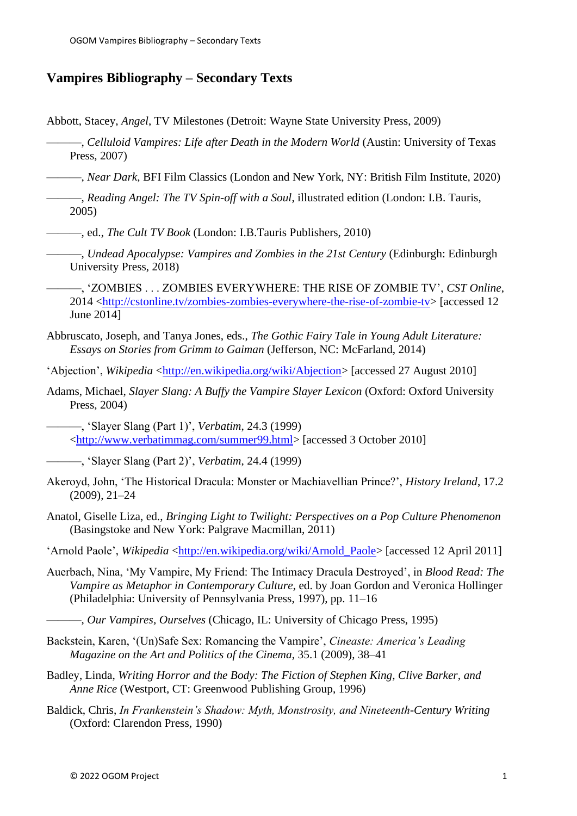## **Vampires Bibliography – Secondary Texts**

Abbott, Stacey, *Angel*, TV Milestones (Detroit: Wayne State University Press, 2009)

- ———, *Celluloid Vampires: Life after Death in the Modern World* (Austin: University of Texas Press, 2007)
- ———, *Near Dark*, BFI Film Classics (London and New York, NY: British Film Institute, 2020)
- ———, *Reading Angel: The TV Spin-off with a Soul*, illustrated edition (London: I.B. Tauris, 2005)
- ———, ed., *The Cult TV Book* (London: I.B.Tauris Publishers, 2010)
	- ———, *Undead Apocalypse: Vampires and Zombies in the 21st Century* (Edinburgh: Edinburgh University Press, 2018)
- ———, 'ZOMBIES . . . ZOMBIES EVERYWHERE: THE RISE OF ZOMBIE TV', *CST Online*, 2014 [<http://cstonline.tv/zombies-zombies-everywhere-the-rise-of-zombie-tv>](http://cstonline.tv/zombies-zombies-everywhere-the-rise-of-zombie-tv) [accessed 12 June 2014]
- Abbruscato, Joseph, and Tanya Jones, eds., *The Gothic Fairy Tale in Young Adult Literature: Essays on Stories from Grimm to Gaiman* (Jefferson, NC: McFarland, 2014)
- 'Abiection', *Wikipedia* [<http://en.wikipedia.org/wiki/Abjection>](http://en.wikipedia.org/wiki/Abjection) [accessed 27 August 2010]
- Adams, Michael, *Slayer Slang: A Buffy the Vampire Slayer Lexicon* (Oxford: Oxford University Press, 2004)
	- ———, 'Slayer Slang (Part 1)', *Verbatim*, 24.3 (1999) [<http://www.verbatimmag.com/summer99.html>](http://www.verbatimmag.com/summer99.html) [accessed 3 October 2010]
- ———, 'Slayer Slang (Part 2)', *Verbatim*, 24.4 (1999)
- Akeroyd, John, 'The Historical Dracula: Monster or Machiavellian Prince?', *History Ireland*, 17.2 (2009), 21–24
- Anatol, Giselle Liza, ed., *Bringing Light to Twilight: Perspectives on a Pop Culture Phenomenon* (Basingstoke and New York: Palgrave Macmillan, 2011)
- 'Arnold Paole', *Wikipedia* [<http://en.wikipedia.org/wiki/Arnold\\_Paole>](http://en.wikipedia.org/wiki/Arnold_Paole) [accessed 12 April 2011]
- Auerbach, Nina, 'My Vampire, My Friend: The Intimacy Dracula Destroyed', in *Blood Read: The Vampire as Metaphor in Contemporary Culture*, ed. by Joan Gordon and Veronica Hollinger (Philadelphia: University of Pennsylvania Press, 1997), pp. 11–16
	- ———, *Our Vampires, Ourselves* (Chicago, IL: University of Chicago Press, 1995)
- Backstein, Karen, '(Un)Safe Sex: Romancing the Vampire', *Cineaste: America's Leading Magazine on the Art and Politics of the Cinema*, 35.1 (2009), 38–41
- Badley, Linda, *Writing Horror and the Body: The Fiction of Stephen King, Clive Barker, and Anne Rice* (Westport, CT: Greenwood Publishing Group, 1996)
- Baldick, Chris, *In Frankenstein's Shadow: Myth, Monstrosity, and Nineteenth-Century Writing* (Oxford: Clarendon Press, 1990)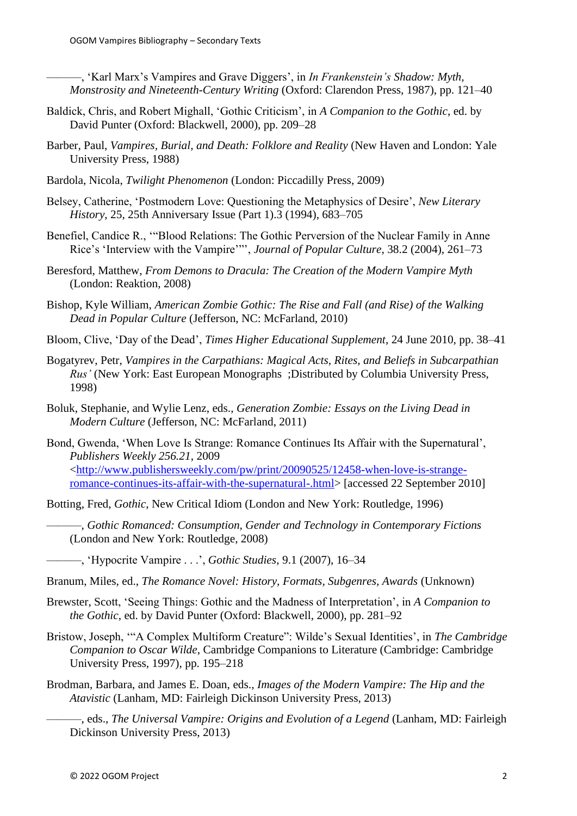———, 'Karl Marx's Vampires and Grave Diggers', in *In Frankenstein's Shadow: Myth, Monstrosity and Nineteenth-Century Writing* (Oxford: Clarendon Press, 1987), pp. 121–40

- Baldick, Chris, and Robert Mighall, 'Gothic Criticism', in *A Companion to the Gothic*, ed. by David Punter (Oxford: Blackwell, 2000), pp. 209–28
- Barber, Paul, *Vampires, Burial, and Death: Folklore and Reality* (New Haven and London: Yale University Press, 1988)
- Bardola, Nicola, *Twilight Phenomenon* (London: Piccadilly Press, 2009)
- Belsey, Catherine, 'Postmodern Love: Questioning the Metaphysics of Desire', *New Literary History*, 25, 25th Anniversary Issue (Part 1).3 (1994), 683–705
- Benefiel, Candice R., '"Blood Relations: The Gothic Perversion of the Nuclear Family in Anne Rice's 'Interview with the Vampire'"', *Journal of Popular Culture*, 38.2 (2004), 261–73
- Beresford, Matthew, *From Demons to Dracula: The Creation of the Modern Vampire Myth* (London: Reaktion, 2008)
- Bishop, Kyle William, *American Zombie Gothic: The Rise and Fall (and Rise) of the Walking Dead in Popular Culture* (Jefferson, NC: McFarland, 2010)
- Bloom, Clive, 'Day of the Dead', *Times Higher Educational Supplement*, 24 June 2010, pp. 38–41
- Bogatyrev, Petr, *Vampires in the Carpathians: Magical Acts, Rites, and Beliefs in Subcarpathian Rus'* (New York: East European Monographs ;Distributed by Columbia University Press, 1998)
- Boluk, Stephanie, and Wylie Lenz, eds., *Generation Zombie: Essays on the Living Dead in Modern Culture* (Jefferson, NC: McFarland, 2011)
- Bond, Gwenda, 'When Love Is Strange: Romance Continues Its Affair with the Supernatural', *Publishers Weekly 256.21*, 2009 [<http://www.publishersweekly.com/pw/print/20090525/12458-when-love-is-strange](http://www.publishersweekly.com/pw/print/20090525/12458-when-love-is-strange-romance-continues-its-affair-with-the-supernatural-.html)[romance-continues-its-affair-with-the-supernatural-.html>](http://www.publishersweekly.com/pw/print/20090525/12458-when-love-is-strange-romance-continues-its-affair-with-the-supernatural-.html) [accessed 22 September 2010]
- Botting, Fred, *Gothic*, New Critical Idiom (London and New York: Routledge, 1996)
	- ———, *Gothic Romanced: Consumption, Gender and Technology in Contemporary Fictions* (London and New York: Routledge, 2008)
- ———, 'Hypocrite Vampire . . .', *Gothic Studies*, 9.1 (2007), 16–34
- Branum, Miles, ed., *The Romance Novel: History, Formats, Subgenres, Awards* (Unknown)
- Brewster, Scott, 'Seeing Things: Gothic and the Madness of Interpretation', in *A Companion to the Gothic*, ed. by David Punter (Oxford: Blackwell, 2000), pp. 281–92
- Bristow, Joseph, '"A Complex Multiform Creature": Wilde's Sexual Identities', in *The Cambridge Companion to Oscar Wilde*, Cambridge Companions to Literature (Cambridge: Cambridge University Press, 1997), pp. 195–218
- Brodman, Barbara, and James E. Doan, eds., *Images of the Modern Vampire: The Hip and the Atavistic* (Lanham, MD: Fairleigh Dickinson University Press, 2013)
	- ———, eds., *The Universal Vampire: Origins and Evolution of a Legend* (Lanham, MD: Fairleigh Dickinson University Press, 2013)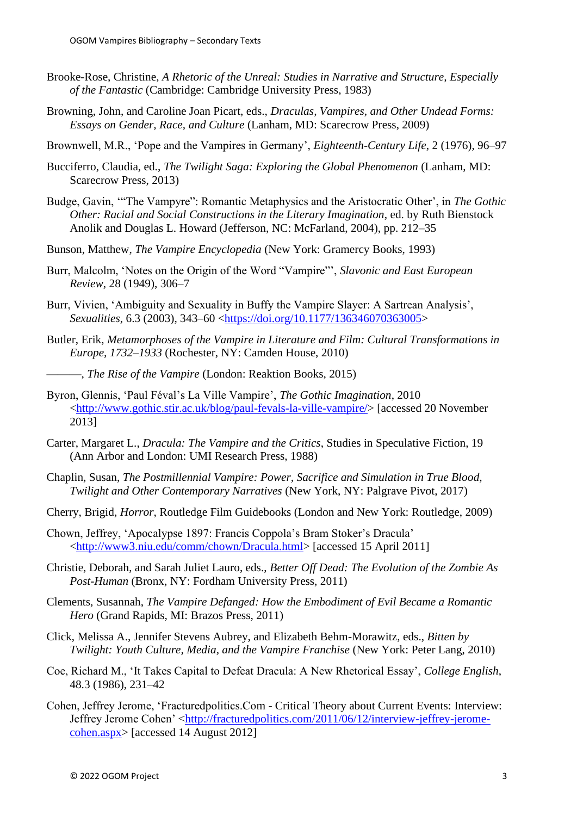- Brooke-Rose, Christine, *A Rhetoric of the Unreal: Studies in Narrative and Structure, Especially of the Fantastic* (Cambridge: Cambridge University Press, 1983)
- Browning, John, and Caroline Joan Picart, eds., *Draculas, Vampires, and Other Undead Forms: Essays on Gender, Race, and Culture* (Lanham, MD: Scarecrow Press, 2009)
- Brownwell, M.R., 'Pope and the Vampires in Germany', *Eighteenth-Century Life*, 2 (1976), 96–97
- Bucciferro, Claudia, ed., *The Twilight Saga: Exploring the Global Phenomenon* (Lanham, MD: Scarecrow Press, 2013)
- Budge, Gavin, '"The Vampyre": Romantic Metaphysics and the Aristocratic Other', in *The Gothic Other: Racial and Social Constructions in the Literary Imagination*, ed. by Ruth Bienstock Anolik and Douglas L. Howard (Jefferson, NC: McFarland, 2004), pp. 212–35
- Bunson, Matthew, *The Vampire Encyclopedia* (New York: Gramercy Books, 1993)
- Burr, Malcolm, 'Notes on the Origin of the Word "Vampire"', *Slavonic and East European Review*, 28 (1949), 306–7
- Burr, Vivien, 'Ambiguity and Sexuality in Buffy the Vampire Slayer: A Sartrean Analysis', *Sexualities*, 6.3 (2003), 343–60 [<https://doi.org/10.1177/136346070363005>](https://doi.org/10.1177/136346070363005)
- Butler, Erik, *Metamorphoses of the Vampire in Literature and Film: Cultural Transformations in Europe, 1732–1933* (Rochester, NY: Camden House, 2010)
- ———, *The Rise of the Vampire* (London: Reaktion Books, 2015)
- Byron, Glennis, 'Paul Féval's La Ville Vampire', *The Gothic Imagination*, 2010 [<http://www.gothic.stir.ac.uk/blog/paul-fevals-la-ville-vampire/>](http://www.gothic.stir.ac.uk/blog/paul-fevals-la-ville-vampire/) [accessed 20 November 2013]
- Carter, Margaret L., *Dracula: The Vampire and the Critics*, Studies in Speculative Fiction, 19 (Ann Arbor and London: UMI Research Press, 1988)
- Chaplin, Susan, *The Postmillennial Vampire: Power, Sacrifice and Simulation in True Blood, Twilight and Other Contemporary Narratives* (New York, NY: Palgrave Pivot, 2017)
- Cherry, Brigid, *Horror*, Routledge Film Guidebooks (London and New York: Routledge, 2009)
- Chown, Jeffrey, 'Apocalypse 1897: Francis Coppola's Bram Stoker's Dracula' [<http://www3.niu.edu/comm/chown/Dracula.html>](http://www3.niu.edu/comm/chown/Dracula.html) [accessed 15 April 2011]
- Christie, Deborah, and Sarah Juliet Lauro, eds., *Better Off Dead: The Evolution of the Zombie As Post-Human* (Bronx, NY: Fordham University Press, 2011)
- Clements, Susannah, *The Vampire Defanged: How the Embodiment of Evil Became a Romantic Hero* (Grand Rapids, MI: Brazos Press, 2011)
- Click, Melissa A., Jennifer Stevens Aubrey, and Elizabeth Behm-Morawitz, eds., *Bitten by Twilight: Youth Culture, Media, and the Vampire Franchise* (New York: Peter Lang, 2010)
- Coe, Richard M., 'It Takes Capital to Defeat Dracula: A New Rhetorical Essay', *College English*, 48.3 (1986), 231–42
- Cohen, Jeffrey Jerome, 'Fracturedpolitics.Com Critical Theory about Current Events: Interview: Jeffrey Jerome Cohen' [<http://fracturedpolitics.com/2011/06/12/interview-jeffrey-jerome](http://fracturedpolitics.com/2011/06/12/interview-jeffrey-jerome-cohen.aspx)[cohen.aspx>](http://fracturedpolitics.com/2011/06/12/interview-jeffrey-jerome-cohen.aspx) [accessed 14 August 2012]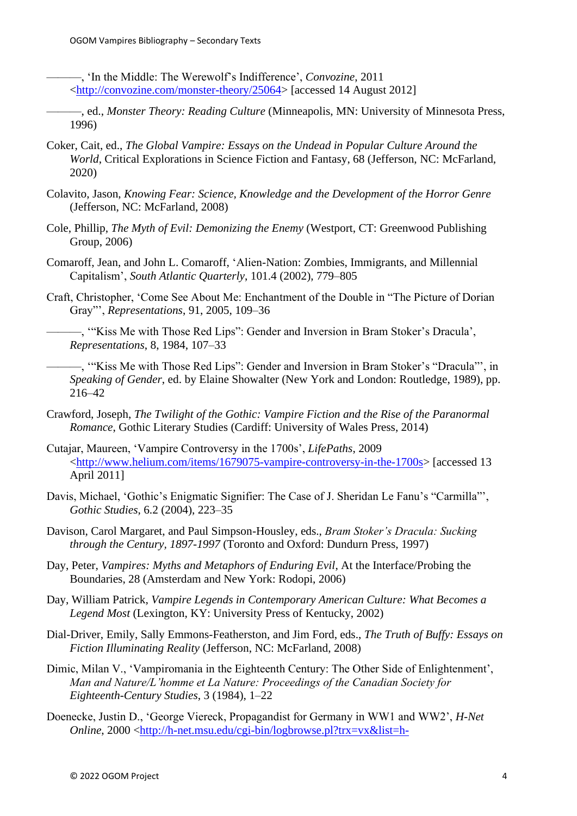———, 'In the Middle: The Werewolf's Indifference', *Convozine*, 2011 [<http://convozine.com/monster-theory/25064>](http://convozine.com/monster-theory/25064) [accessed 14 August 2012]

- ———, ed., *Monster Theory: Reading Culture* (Minneapolis, MN: University of Minnesota Press, 1996)
- Coker, Cait, ed., *The Global Vampire: Essays on the Undead in Popular Culture Around the World*, Critical Explorations in Science Fiction and Fantasy, 68 (Jefferson, NC: McFarland, 2020)
- Colavito, Jason, *Knowing Fear: Science, Knowledge and the Development of the Horror Genre* (Jefferson, NC: McFarland, 2008)
- Cole, Phillip, *The Myth of Evil: Demonizing the Enemy* (Westport, CT: Greenwood Publishing Group, 2006)
- Comaroff, Jean, and John L. Comaroff, 'Alien-Nation: Zombies, Immigrants, and Millennial Capitalism', *South Atlantic Quarterly*, 101.4 (2002), 779–805
- Craft, Christopher, 'Come See About Me: Enchantment of the Double in "The Picture of Dorian Gray"', *Representations*, 91, 2005, 109–36

———, '"Kiss Me with Those Red Lips": Gender and Inversion in Bram Stoker's Dracula', *Representations*, 8, 1984, 107–33

———, '"Kiss Me with Those Red Lips": Gender and Inversion in Bram Stoker's "Dracula"', in *Speaking of Gender*, ed. by Elaine Showalter (New York and London: Routledge, 1989), pp. 216–42

- Crawford, Joseph, *The Twilight of the Gothic: Vampire Fiction and the Rise of the Paranormal Romance*, Gothic Literary Studies (Cardiff: University of Wales Press, 2014)
- Cutajar, Maureen, 'Vampire Controversy in the 1700s', *LifePaths*, 2009 [<http://www.helium.com/items/1679075-vampire-controversy-in-the-1700s>](http://www.helium.com/items/1679075-vampire-controversy-in-the-1700s) [accessed 13 April 2011]
- Davis, Michael, 'Gothic's Enigmatic Signifier: The Case of J. Sheridan Le Fanu's "Carmilla"', *Gothic Studies*, 6.2 (2004), 223–35
- Davison, Carol Margaret, and Paul Simpson-Housley, eds., *Bram Stoker's Dracula: Sucking through the Century, 1897-1997* (Toronto and Oxford: Dundurn Press, 1997)
- Day, Peter, *Vampires: Myths and Metaphors of Enduring Evil*, At the Interface/Probing the Boundaries, 28 (Amsterdam and New York: Rodopi, 2006)
- Day, William Patrick, *Vampire Legends in Contemporary American Culture: What Becomes a Legend Most* (Lexington, KY: University Press of Kentucky, 2002)
- Dial-Driver, Emily, Sally Emmons-Featherston, and Jim Ford, eds., *The Truth of Buffy: Essays on Fiction Illuminating Reality* (Jefferson, NC: McFarland, 2008)
- Dimic, Milan V., 'Vampiromania in the Eighteenth Century: The Other Side of Enlightenment', *Man and Nature/L'homme et La Nature: Proceedings of the Canadian Society for Eighteenth-Century Studies*, 3 (1984), 1–22
- Doenecke, Justin D., 'George Viereck, Propagandist for Germany in WW1 and WW2', *H-Net Online*, 2000 [<http://h-net.msu.edu/cgi-bin/logbrowse.pl?trx=vx&list=h-](http://h-net.msu.edu/cgi-bin/logbrowse.pl?trx=vx&list=h-shgape&month=0003&week=a&msg=b%2BurRQGOLUJM0%2B/LR3n0tw&user=&pw=)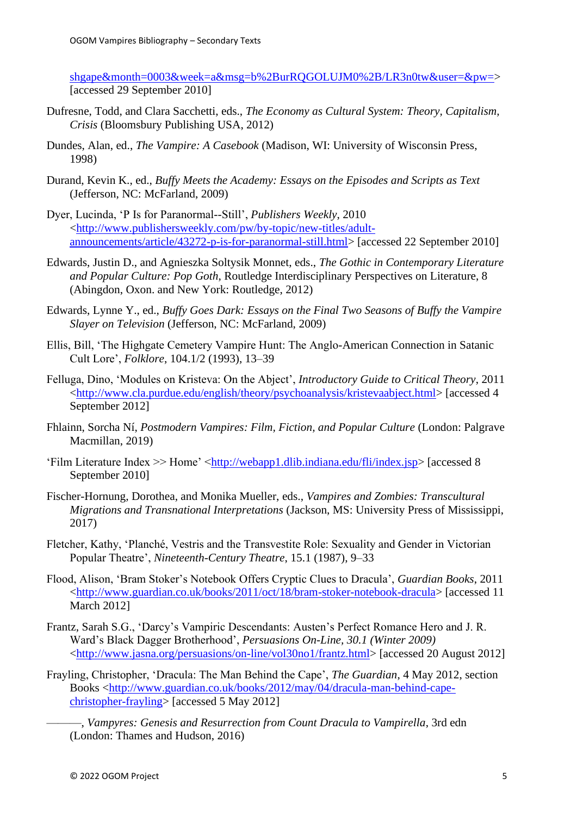[shgape&month=0003&week=a&msg=b%2BurRQGOLUJM0%2B/LR3n0tw&user=&pw=>](http://h-net.msu.edu/cgi-bin/logbrowse.pl?trx=vx&list=h-shgape&month=0003&week=a&msg=b%2BurRQGOLUJM0%2B/LR3n0tw&user=&pw=) [accessed 29 September 2010]

- Dufresne, Todd, and Clara Sacchetti, eds., *The Economy as Cultural System: Theory, Capitalism, Crisis* (Bloomsbury Publishing USA, 2012)
- Dundes, Alan, ed., *The Vampire: A Casebook* (Madison, WI: University of Wisconsin Press, 1998)
- Durand, Kevin K., ed., *Buffy Meets the Academy: Essays on the Episodes and Scripts as Text* (Jefferson, NC: McFarland, 2009)
- Dyer, Lucinda, 'P Is for Paranormal--Still', *Publishers Weekly*, 2010 [<http://www.publishersweekly.com/pw/by-topic/new-titles/adult](http://www.publishersweekly.com/pw/by-topic/new-titles/adult-announcements/article/43272-p-is-for-paranormal-still.html)[announcements/article/43272-p-is-for-paranormal-still.html>](http://www.publishersweekly.com/pw/by-topic/new-titles/adult-announcements/article/43272-p-is-for-paranormal-still.html) [accessed 22 September 2010]
- Edwards, Justin D., and Agnieszka Soltysik Monnet, eds., *The Gothic in Contemporary Literature and Popular Culture: Pop Goth*, Routledge Interdisciplinary Perspectives on Literature, 8 (Abingdon, Oxon. and New York: Routledge, 2012)
- Edwards, Lynne Y., ed., *Buffy Goes Dark: Essays on the Final Two Seasons of Buffy the Vampire Slayer on Television* (Jefferson, NC: McFarland, 2009)
- Ellis, Bill, 'The Highgate Cemetery Vampire Hunt: The Anglo-American Connection in Satanic Cult Lore', *Folklore*, 104.1/2 (1993), 13–39
- Felluga, Dino, 'Modules on Kristeva: On the Abject', *Introductory Guide to Critical Theory*, 2011 [<http://www.cla.purdue.edu/english/theory/psychoanalysis/kristevaabject.html>](http://www.cla.purdue.edu/english/theory/psychoanalysis/kristevaabject.html) [accessed 4 September 2012]
- Fhlainn, Sorcha Ní, *Postmodern Vampires: Film, Fiction, and Popular Culture* (London: Palgrave Macmillan, 2019)
- 'Film Literature Index >> Home' [<http://webapp1.dlib.indiana.edu/fli/index.jsp>](http://webapp1.dlib.indiana.edu/fli/index.jsp) [accessed 8 September 2010]
- Fischer-Hornung, Dorothea, and Monika Mueller, eds., *Vampires and Zombies: Transcultural Migrations and Transnational Interpretations* (Jackson, MS: University Press of Mississippi, 2017)
- Fletcher, Kathy, 'Planché, Vestris and the Transvestite Role: Sexuality and Gender in Victorian Popular Theatre', *Nineteenth-Century Theatre*, 15.1 (1987), 9–33
- Flood, Alison, 'Bram Stoker's Notebook Offers Cryptic Clues to Dracula', *Guardian Books*, 2011 [<http://www.guardian.co.uk/books/2011/oct/18/bram-stoker-notebook-dracula>](http://www.guardian.co.uk/books/2011/oct/18/bram-stoker-notebook-dracula) [accessed 11 March 2012]
- Frantz, Sarah S.G., 'Darcy's Vampiric Descendants: Austen's Perfect Romance Hero and J. R. Ward's Black Dagger Brotherhood', *Persuasions On-Line, 30.1 (Winter 2009)* [<http://www.jasna.org/persuasions/on-line/vol30no1/frantz.html>](http://www.jasna.org/persuasions/on-line/vol30no1/frantz.html) [accessed 20 August 2012]
- Frayling, Christopher, 'Dracula: The Man Behind the Cape', *The Guardian*, 4 May 2012, section Books [<http://www.guardian.co.uk/books/2012/may/04/dracula-man-behind-cape](http://www.guardian.co.uk/books/2012/may/04/dracula-man-behind-cape-christopher-frayling)[christopher-frayling>](http://www.guardian.co.uk/books/2012/may/04/dracula-man-behind-cape-christopher-frayling) [accessed 5 May 2012]
	- ———, *Vampyres: Genesis and Resurrection from Count Dracula to Vampirella*, 3rd edn (London: Thames and Hudson, 2016)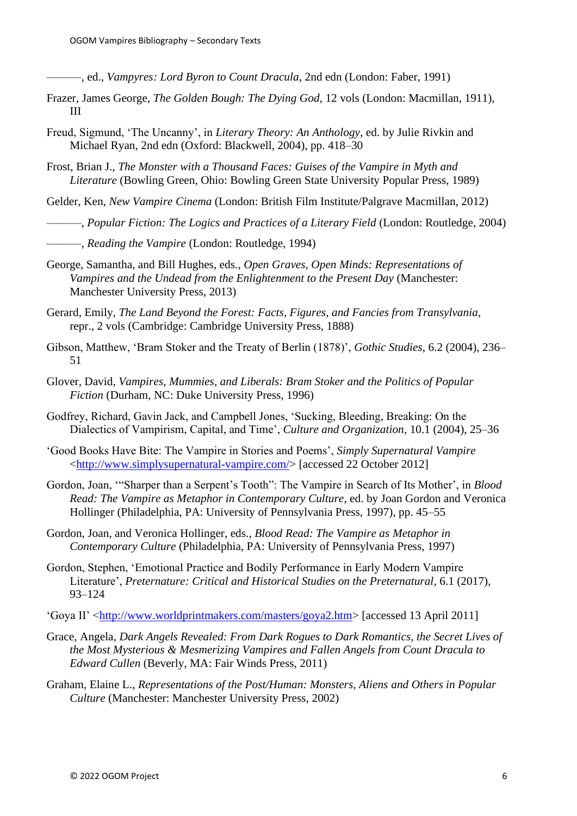- ———, ed., *Vampyres: Lord Byron to Count Dracula*, 2nd edn (London: Faber, 1991)
- Frazer, James George, *The Golden Bough: The Dying God*, 12 vols (London: Macmillan, 1911), III
- Freud, Sigmund, 'The Uncanny', in *Literary Theory: An Anthology*, ed. by Julie Rivkin and Michael Ryan, 2nd edn (Oxford: Blackwell, 2004), pp. 418–30
- Frost, Brian J., *The Monster with a Thousand Faces: Guises of the Vampire in Myth and Literature* (Bowling Green, Ohio: Bowling Green State University Popular Press, 1989)

Gelder, Ken, *New Vampire Cinema* (London: British Film Institute/Palgrave Macmillan, 2012)

- ———, *Popular Fiction: The Logics and Practices of a Literary Field* (London: Routledge, 2004)
- ———, *Reading the Vampire* (London: Routledge, 1994)
- George, Samantha, and Bill Hughes, eds., *Open Graves, Open Minds: Representations of Vampires and the Undead from the Enlightenment to the Present Day* (Manchester: Manchester University Press, 2013)
- Gerard, Emily, *The Land Beyond the Forest: Facts, Figures, and Fancies from Transylvania*, repr., 2 vols (Cambridge: Cambridge University Press, 1888)
- Gibson, Matthew, 'Bram Stoker and the Treaty of Berlin (1878)', *Gothic Studies*, 6.2 (2004), 236– 51
- Glover, David, *Vampires, Mummies, and Liberals: Bram Stoker and the Politics of Popular Fiction* (Durham, NC: Duke University Press, 1996)
- Godfrey, Richard, Gavin Jack, and Campbell Jones, 'Sucking, Bleeding, Breaking: On the Dialectics of Vampirism, Capital, and Time', *Culture and Organization*, 10.1 (2004), 25–36
- 'Good Books Have Bite: The Vampire in Stories and Poems', *Simply Supernatural Vampire* [<http://www.simplysupernatural-vampire.com/>](http://www.simplysupernatural-vampire.com/) [accessed 22 October 2012]
- Gordon, Joan, '"Sharper than a Serpent's Tooth": The Vampire in Search of Its Mother', in *Blood Read: The Vampire as Metaphor in Contemporary Culture*, ed. by Joan Gordon and Veronica Hollinger (Philadelphia, PA: University of Pennsylvania Press, 1997), pp. 45–55
- Gordon, Joan, and Veronica Hollinger, eds., *Blood Read: The Vampire as Metaphor in Contemporary Culture* (Philadelphia, PA: University of Pennsylvania Press, 1997)
- Gordon, Stephen, 'Emotional Practice and Bodily Performance in Early Modern Vampire Literature', *Preternature: Critical and Historical Studies on the Preternatural*, 6.1 (2017), 93–124
- 'Goya II' [<http://www.worldprintmakers.com/masters/goya2.htm>](http://www.worldprintmakers.com/masters/goya2.htm) [accessed 13 April 2011]
- Grace, Angela, *Dark Angels Revealed: From Dark Rogues to Dark Romantics, the Secret Lives of the Most Mysterious & Mesmerizing Vampires and Fallen Angels from Count Dracula to Edward Cullen* (Beverly, MA: Fair Winds Press, 2011)
- Graham, Elaine L., *Representations of the Post/Human: Monsters, Aliens and Others in Popular Culture* (Manchester: Manchester University Press, 2002)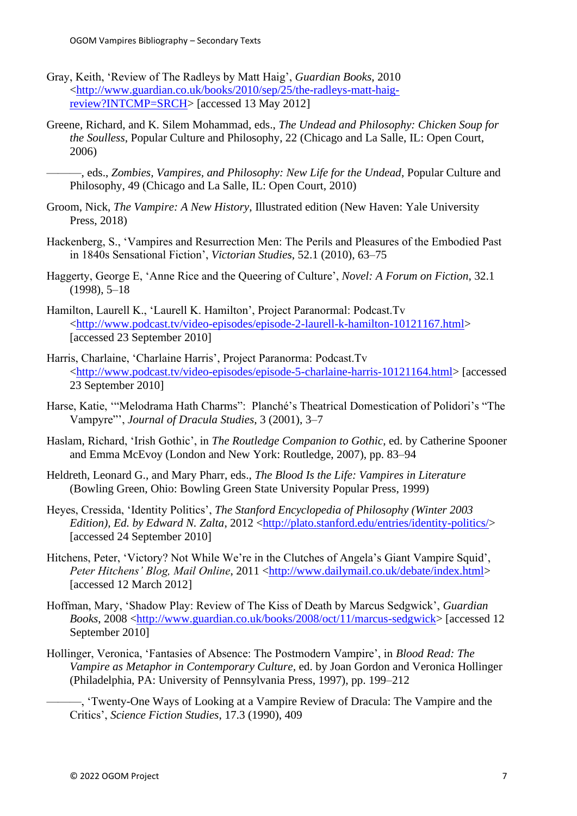- Gray, Keith, 'Review of The Radleys by Matt Haig', *Guardian Books*, 2010 [<http://www.guardian.co.uk/books/2010/sep/25/the-radleys-matt-haig](http://www.guardian.co.uk/books/2010/sep/25/the-radleys-matt-haig-review?INTCMP=SRCH)[review?INTCMP=SRCH>](http://www.guardian.co.uk/books/2010/sep/25/the-radleys-matt-haig-review?INTCMP=SRCH) [accessed 13 May 2012]
- Greene, Richard, and K. Silem Mohammad, eds., *The Undead and Philosophy: Chicken Soup for the Soulless*, Popular Culture and Philosophy, 22 (Chicago and La Salle, IL: Open Court, 2006)
	- ———, eds., *Zombies, Vampires, and Philosophy: New Life for the Undead*, Popular Culture and Philosophy, 49 (Chicago and La Salle, IL: Open Court, 2010)
- Groom, Nick, *The Vampire: A New History*, Illustrated edition (New Haven: Yale University Press, 2018)
- Hackenberg, S., 'Vampires and Resurrection Men: The Perils and Pleasures of the Embodied Past in 1840s Sensational Fiction', *Victorian Studies*, 52.1 (2010), 63–75
- Haggerty, George E, 'Anne Rice and the Queering of Culture', *Novel: A Forum on Fiction*, 32.1 (1998), 5–18
- Hamilton, Laurell K., 'Laurell K. Hamilton', Project Paranormal: Podcast.Tv [<http://www.podcast.tv/video-episodes/episode-2-laurell-k-hamilton-10121167.html>](http://www.podcast.tv/video-episodes/episode-2-laurell-k-hamilton-10121167.html) [accessed 23 September 2010]
- Harris, Charlaine, 'Charlaine Harris', Project Paranorma: Podcast.Tv [<http://www.podcast.tv/video-episodes/episode-5-charlaine-harris-10121164.html>](http://www.podcast.tv/video-episodes/episode-5-charlaine-harris-10121164.html) [accessed 23 September 2010]
- Harse, Katie, '"Melodrama Hath Charms": Planché's Theatrical Domestication of Polidori's "The Vampyre"', *Journal of Dracula Studies*, 3 (2001), 3–7
- Haslam, Richard, 'Irish Gothic', in *The Routledge Companion to Gothic*, ed. by Catherine Spooner and Emma McEvoy (London and New York: Routledge, 2007), pp. 83–94
- Heldreth, Leonard G., and Mary Pharr, eds., *The Blood Is the Life: Vampires in Literature* (Bowling Green, Ohio: Bowling Green State University Popular Press, 1999)
- Heyes, Cressida, 'Identity Politics', *The Stanford Encyclopedia of Philosophy (Winter 2003 Edition), Ed. by Edward N. Zalta, 2012* [<http://plato.stanford.edu/entries/identity-politics/>](http://plato.stanford.edu/entries/identity-politics/) [accessed 24 September 2010]
- Hitchens, Peter, 'Victory? Not While We're in the Clutches of Angela's Giant Vampire Squid', *Peter Hitchens' Blog, Mail Online, 2011* [<http://www.dailymail.co.uk/debate/index.html>](http://www.dailymail.co.uk/debate/index.html) [accessed 12 March 2012]
- Hoffman, Mary, 'Shadow Play: Review of The Kiss of Death by Marcus Sedgwick', *Guardian Books*, 2008 [<http://www.guardian.co.uk/books/2008/oct/11/marcus-sedgwick>](http://www.guardian.co.uk/books/2008/oct/11/marcus-sedgwick) [accessed 12 September 2010]
- Hollinger, Veronica, 'Fantasies of Absence: The Postmodern Vampire', in *Blood Read: The Vampire as Metaphor in Contemporary Culture*, ed. by Joan Gordon and Veronica Hollinger (Philadelphia, PA: University of Pennsylvania Press, 1997), pp. 199–212
	- ———, 'Twenty-One Ways of Looking at a Vampire Review of Dracula: The Vampire and the Critics', *Science Fiction Studies*, 17.3 (1990), 409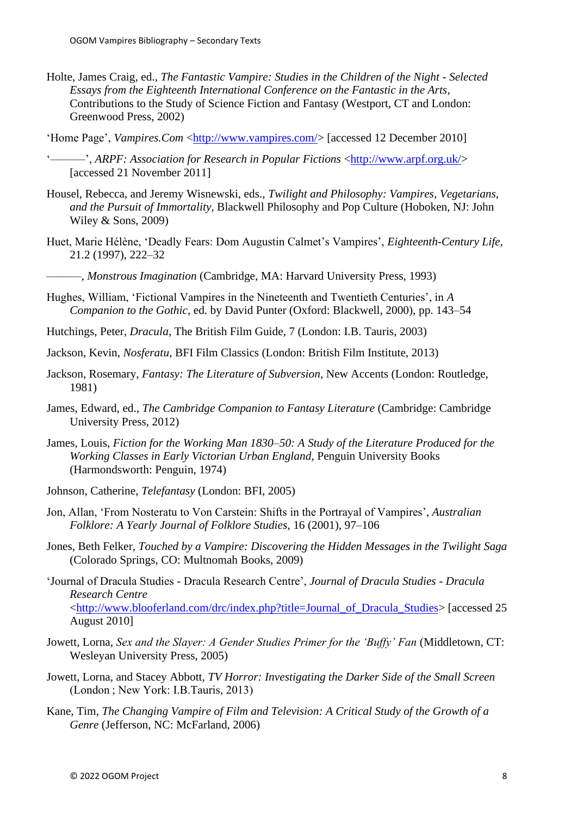- Holte, James Craig, ed., *The Fantastic Vampire: Studies in the Children of the Night - Selected Essays from the Eighteenth International Conference on the Fantastic in the Arts*, Contributions to the Study of Science Fiction and Fantasy (Westport, CT and London: Greenwood Press, 2002)
- 'Home Page', *Vampires.Com* [<http://www.vampires.com/>](http://www.vampires.com/) [accessed 12 December 2010]
- '———', *ARPF*: *Association for Research in Popular Fictions* [<http://www.arpf.org.uk/>](http://www.arpf.org.uk/) [accessed 21 November 2011]
- Housel, Rebecca, and Jeremy Wisnewski, eds., *Twilight and Philosophy: Vampires, Vegetarians, and the Pursuit of Immortality*, Blackwell Philosophy and Pop Culture (Hoboken, NJ: John Wiley & Sons, 2009)
- Huet, Marie Hélène, 'Deadly Fears: Dom Augustin Calmet's Vampires', *Eighteenth-Century Life*, 21.2 (1997), 222–32
- ———, *Monstrous Imagination* (Cambridge, MA: Harvard University Press, 1993)
- Hughes, William, 'Fictional Vampires in the Nineteenth and Twentieth Centuries', in *A Companion to the Gothic*, ed. by David Punter (Oxford: Blackwell, 2000), pp. 143–54
- Hutchings, Peter, *Dracula*, The British Film Guide, 7 (London: I.B. Tauris, 2003)
- Jackson, Kevin, *Nosferatu*, BFI Film Classics (London: British Film Institute, 2013)
- Jackson, Rosemary, *Fantasy: The Literature of Subversion*, New Accents (London: Routledge, 1981)
- James, Edward, ed., *The Cambridge Companion to Fantasy Literature* (Cambridge: Cambridge University Press, 2012)
- James, Louis, *Fiction for the Working Man 1830–50: A Study of the Literature Produced for the Working Classes in Early Victorian Urban England*, Penguin University Books (Harmondsworth: Penguin, 1974)
- Johnson, Catherine, *Telefantasy* (London: BFI, 2005)
- Jon, Allan, 'From Nosteratu to Von Carstein: Shifts in the Portrayal of Vampires', *Australian Folklore: A Yearly Journal of Folklore Studies*, 16 (2001), 97–106
- Jones, Beth Felker, *Touched by a Vampire: Discovering the Hidden Messages in the Twilight Saga* (Colorado Springs, CO: Multnomah Books, 2009)
- 'Journal of Dracula Studies Dracula Research Centre', *Journal of Dracula Studies - Dracula Research Centre* [<http://www.blooferland.com/drc/index.php?title=Journal\\_of\\_Dracula\\_Studies>](http://www.blooferland.com/drc/index.php?title=Journal_of_Dracula_Studies) [accessed 25 August 2010]
- Jowett, Lorna, *Sex and the Slayer: A Gender Studies Primer for the 'Buffy' Fan* (Middletown, CT: Wesleyan University Press, 2005)
- Jowett, Lorna, and Stacey Abbott, *TV Horror: Investigating the Darker Side of the Small Screen* (London ; New York: I.B.Tauris, 2013)
- Kane, Tim, *The Changing Vampire of Film and Television: A Critical Study of the Growth of a Genre* (Jefferson, NC: McFarland, 2006)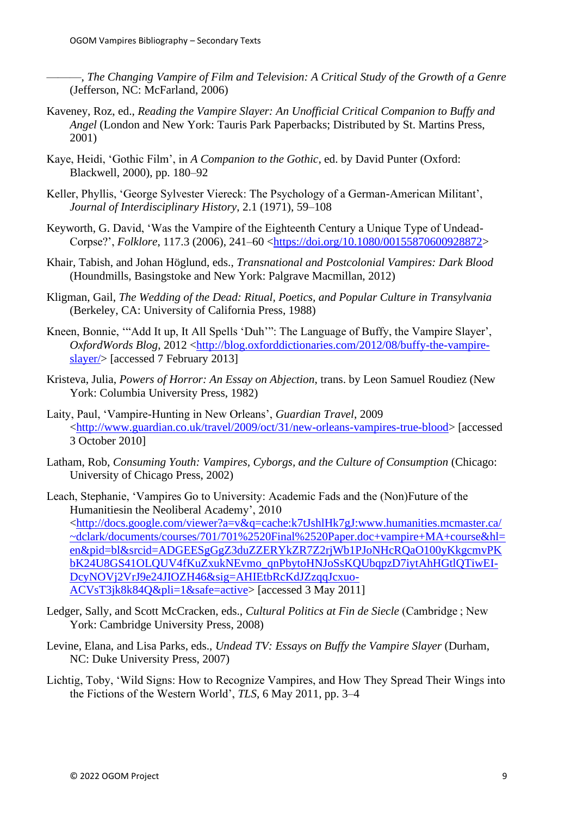———, *The Changing Vampire of Film and Television: A Critical Study of the Growth of a Genre* (Jefferson, NC: McFarland, 2006)

- Kaveney, Roz, ed., *Reading the Vampire Slayer: An Unofficial Critical Companion to Buffy and Angel* (London and New York: Tauris Park Paperbacks; Distributed by St. Martins Press, 2001)
- Kaye, Heidi, 'Gothic Film', in *A Companion to the Gothic*, ed. by David Punter (Oxford: Blackwell, 2000), pp. 180–92
- Keller, Phyllis, 'George Sylvester Viereck: The Psychology of a German-American Militant', *Journal of Interdisciplinary History*, 2.1 (1971), 59–108
- Keyworth, G. David, 'Was the Vampire of the Eighteenth Century a Unique Type of Undead-Corpse?', *Folklore*, 117.3 (2006), 241–60 [<https://doi.org/10.1080/00155870600928872>](https://doi.org/10.1080/00155870600928872)
- Khair, Tabish, and Johan Höglund, eds., *Transnational and Postcolonial Vampires: Dark Blood* (Houndmills, Basingstoke and New York: Palgrave Macmillan, 2012)
- Kligman, Gail, *The Wedding of the Dead: Ritual, Poetics, and Popular Culture in Transylvania* (Berkeley, CA: University of California Press, 1988)
- Kneen, Bonnie, '"Add It up, It All Spells 'Duh'": The Language of Buffy, the Vampire Slayer', *OxfordWords Blog.* 2012 [<http://blog.oxforddictionaries.com/2012/08/buffy-the-vampire](http://blog.oxforddictionaries.com/2012/08/buffy-the-vampire-slayer/)[slayer/>](http://blog.oxforddictionaries.com/2012/08/buffy-the-vampire-slayer/) [accessed 7 February 2013]
- Kristeva, Julia, *Powers of Horror: An Essay on Abjection*, trans. by Leon Samuel Roudiez (New York: Columbia University Press, 1982)
- Laity, Paul, 'Vampire-Hunting in New Orleans', *Guardian Travel*, 2009 [<http://www.guardian.co.uk/travel/2009/oct/31/new-orleans-vampires-true-blood>](http://www.guardian.co.uk/travel/2009/oct/31/new-orleans-vampires-true-blood) [accessed 3 October 2010]
- Latham, Rob, *Consuming Youth: Vampires, Cyborgs, and the Culture of Consumption* (Chicago: University of Chicago Press, 2002)
- Leach, Stephanie, 'Vampires Go to University: Academic Fads and the (Non)Future of the Humanitiesin the Neoliberal Academy', 2010 [<http://docs.google.com/viewer?a=v&q=cache:k7tJshlHk7gJ:www.humanities.mcmaster.ca/](http://docs.google.com/viewer?a=v&q=cache:k7tJshlHk7gJ:www.humanities.mcmaster.ca/~dclark/documents/courses/701/701%2520Final%2520Paper.doc+vampire+MA+course&hl=en&pid=bl&srcid=ADGEESgGgZ3duZZERYkZR7Z2rjWb1PJoNHcRQaO100yKkgcmvPKbK24U8GS41OLQUV4fKuZxukNEvmo_qnPbytoHNJoSsKQUbqpzD7iytAhHGtlQTiwEI-DcyNOVj2VrJ9e24JIOZH46&sig=AHIEtbRcKdJZzqqJcxuo-ACVsT3jk8k84Q&pli=1&safe=active) [~dclark/documents/courses/701/701%2520Final%2520Paper.doc+vampire+MA+course&hl=](http://docs.google.com/viewer?a=v&q=cache:k7tJshlHk7gJ:www.humanities.mcmaster.ca/~dclark/documents/courses/701/701%2520Final%2520Paper.doc+vampire+MA+course&hl=en&pid=bl&srcid=ADGEESgGgZ3duZZERYkZR7Z2rjWb1PJoNHcRQaO100yKkgcmvPKbK24U8GS41OLQUV4fKuZxukNEvmo_qnPbytoHNJoSsKQUbqpzD7iytAhHGtlQTiwEI-DcyNOVj2VrJ9e24JIOZH46&sig=AHIEtbRcKdJZzqqJcxuo-ACVsT3jk8k84Q&pli=1&safe=active) [en&pid=bl&srcid=ADGEESgGgZ3duZZERYkZR7Z2rjWb1PJoNHcRQaO100yKkgcmvPK](http://docs.google.com/viewer?a=v&q=cache:k7tJshlHk7gJ:www.humanities.mcmaster.ca/~dclark/documents/courses/701/701%2520Final%2520Paper.doc+vampire+MA+course&hl=en&pid=bl&srcid=ADGEESgGgZ3duZZERYkZR7Z2rjWb1PJoNHcRQaO100yKkgcmvPKbK24U8GS41OLQUV4fKuZxukNEvmo_qnPbytoHNJoSsKQUbqpzD7iytAhHGtlQTiwEI-DcyNOVj2VrJ9e24JIOZH46&sig=AHIEtbRcKdJZzqqJcxuo-ACVsT3jk8k84Q&pli=1&safe=active) [bK24U8GS41OLQUV4fKuZxukNEvmo\\_qnPbytoHNJoSsKQUbqpzD7iytAhHGtlQTiwEI-](http://docs.google.com/viewer?a=v&q=cache:k7tJshlHk7gJ:www.humanities.mcmaster.ca/~dclark/documents/courses/701/701%2520Final%2520Paper.doc+vampire+MA+course&hl=en&pid=bl&srcid=ADGEESgGgZ3duZZERYkZR7Z2rjWb1PJoNHcRQaO100yKkgcmvPKbK24U8GS41OLQUV4fKuZxukNEvmo_qnPbytoHNJoSsKQUbqpzD7iytAhHGtlQTiwEI-DcyNOVj2VrJ9e24JIOZH46&sig=AHIEtbRcKdJZzqqJcxuo-ACVsT3jk8k84Q&pli=1&safe=active)[DcyNOVj2VrJ9e24JIOZH46&sig=AHIEtbRcKdJZzqqJcxuo-](http://docs.google.com/viewer?a=v&q=cache:k7tJshlHk7gJ:www.humanities.mcmaster.ca/~dclark/documents/courses/701/701%2520Final%2520Paper.doc+vampire+MA+course&hl=en&pid=bl&srcid=ADGEESgGgZ3duZZERYkZR7Z2rjWb1PJoNHcRQaO100yKkgcmvPKbK24U8GS41OLQUV4fKuZxukNEvmo_qnPbytoHNJoSsKQUbqpzD7iytAhHGtlQTiwEI-DcyNOVj2VrJ9e24JIOZH46&sig=AHIEtbRcKdJZzqqJcxuo-ACVsT3jk8k84Q&pli=1&safe=active)[ACVsT3jk8k84Q&pli=1&safe=active>](http://docs.google.com/viewer?a=v&q=cache:k7tJshlHk7gJ:www.humanities.mcmaster.ca/~dclark/documents/courses/701/701%2520Final%2520Paper.doc+vampire+MA+course&hl=en&pid=bl&srcid=ADGEESgGgZ3duZZERYkZR7Z2rjWb1PJoNHcRQaO100yKkgcmvPKbK24U8GS41OLQUV4fKuZxukNEvmo_qnPbytoHNJoSsKQUbqpzD7iytAhHGtlQTiwEI-DcyNOVj2VrJ9e24JIOZH46&sig=AHIEtbRcKdJZzqqJcxuo-ACVsT3jk8k84Q&pli=1&safe=active) [accessed 3 May 2011]
- Ledger, Sally, and Scott McCracken, eds., *Cultural Politics at Fin de Siecle* (Cambridge ; New York: Cambridge University Press, 2008)
- Levine, Elana, and Lisa Parks, eds., *Undead TV: Essays on Buffy the Vampire Slayer* (Durham, NC: Duke University Press, 2007)
- Lichtig, Toby, 'Wild Signs: How to Recognize Vampires, and How They Spread Their Wings into the Fictions of the Western World', *TLS*, 6 May 2011, pp. 3–4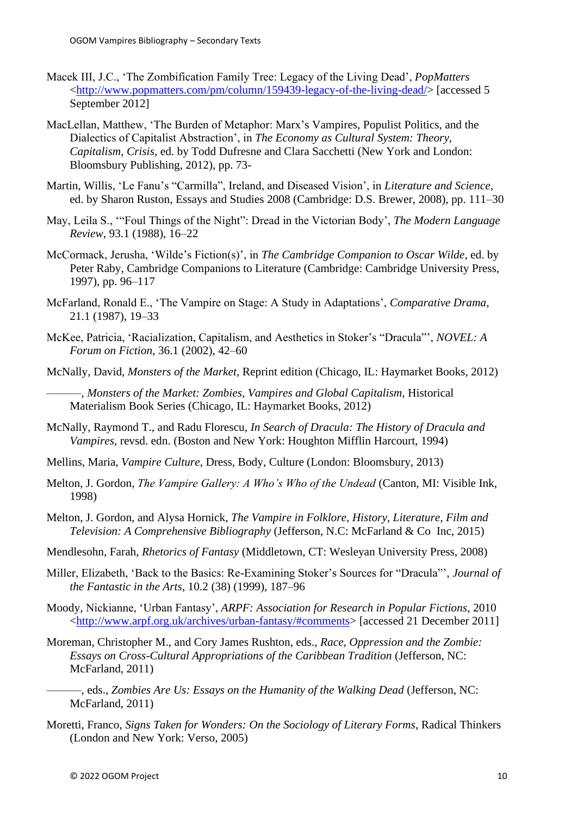- Macek III, J.C., 'The Zombification Family Tree: Legacy of the Living Dead', *PopMatters* [<http://www.popmatters.com/pm/column/159439-legacy-of-the-living-dead/>](http://www.popmatters.com/pm/column/159439-legacy-of-the-living-dead/) [accessed 5 September 2012]
- MacLellan, Matthew, 'The Burden of Metaphor: Marx's Vampires, Populist Politics, and the Dialectics of Capitalist Abstraction', in *The Economy as Cultural System: Theory, Capitalism, Crisis*, ed. by Todd Dufresne and Clara Sacchetti (New York and London: Bloomsbury Publishing, 2012), pp. 73-
- Martin, Willis, 'Le Fanu's "Carmilla", Ireland, and Diseased Vision', in *Literature and Science*, ed. by Sharon Ruston, Essays and Studies 2008 (Cambridge: D.S. Brewer, 2008), pp. 111–30
- May, Leila S., '"Foul Things of the Night": Dread in the Victorian Body', *The Modern Language Review*, 93.1 (1988), 16–22
- McCormack, Jerusha, 'Wilde's Fiction(s)', in *The Cambridge Companion to Oscar Wilde*, ed. by Peter Raby, Cambridge Companions to Literature (Cambridge: Cambridge University Press, 1997), pp. 96–117
- McFarland, Ronald E., 'The Vampire on Stage: A Study in Adaptations', *Comparative Drama*, 21.1 (1987), 19–33
- McKee, Patricia, 'Racialization, Capitalism, and Aesthetics in Stoker's "Dracula"', *NOVEL: A Forum on Fiction*, 36.1 (2002), 42–60
- McNally, David, *Monsters of the Market*, Reprint edition (Chicago, IL: Haymarket Books, 2012)

———, *Monsters of the Market: Zombies, Vampires and Global Capitalism*, Historical Materialism Book Series (Chicago, IL: Haymarket Books, 2012)

- McNally, Raymond T., and Radu Florescu, *In Search of Dracula: The History of Dracula and Vampires*, revsd. edn. (Boston and New York: Houghton Mifflin Harcourt, 1994)
- Mellins, Maria, *Vampire Culture*, Dress, Body, Culture (London: Bloomsbury, 2013)
- Melton, J. Gordon, *The Vampire Gallery: A Who's Who of the Undead* (Canton, MI: Visible Ink, 1998)
- Melton, J. Gordon, and Alysa Hornick, *The Vampire in Folklore, History, Literature, Film and Television: A Comprehensive Bibliography* (Jefferson, N.C: McFarland & Co Inc, 2015)
- Mendlesohn, Farah, *Rhetorics of Fantasy* (Middletown, CT: Wesleyan University Press, 2008)
- Miller, Elizabeth, 'Back to the Basics: Re-Examining Stoker's Sources for "Dracula"', *Journal of the Fantastic in the Arts*, 10.2 (38) (1999), 187–96
- Moody, Nickianne, 'Urban Fantasy', *ARPF: Association for Research in Popular Fictions*, 2010 [<http://www.arpf.org.uk/archives/urban-fantasy/#comments>](http://www.arpf.org.uk/archives/urban-fantasy/#comments) [accessed 21 December 2011]
- Moreman, Christopher M., and Cory James Rushton, eds., *Race, Oppression and the Zombie: Essays on Cross-Cultural Appropriations of the Caribbean Tradition* (Jefferson, NC: McFarland, 2011)
	- ———, eds., *Zombies Are Us: Essays on the Humanity of the Walking Dead* (Jefferson, NC: McFarland, 2011)
- Moretti, Franco, *Signs Taken for Wonders: On the Sociology of Literary Forms*, Radical Thinkers (London and New York: Verso, 2005)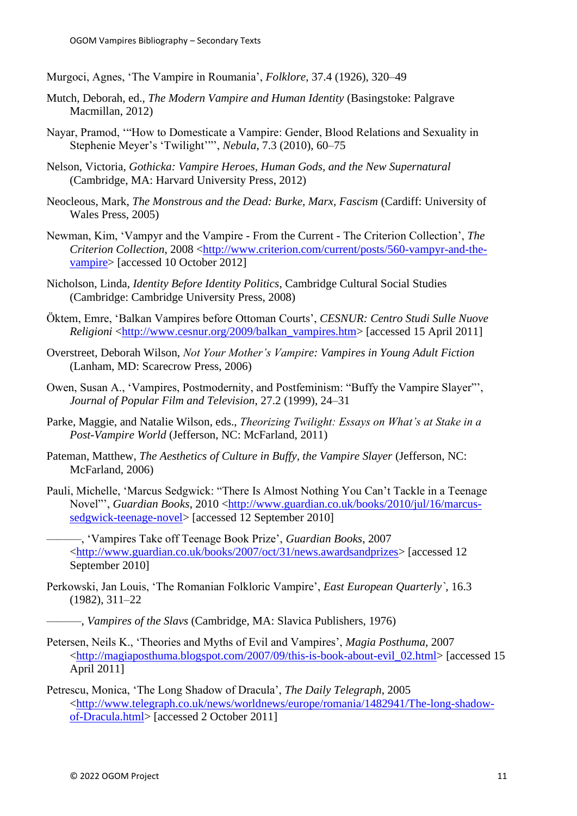Murgoci, Agnes, 'The Vampire in Roumania', *Folklore*, 37.4 (1926), 320–49

- Mutch, Deborah, ed., *The Modern Vampire and Human Identity* (Basingstoke: Palgrave Macmillan, 2012)
- Nayar, Pramod, '"How to Domesticate a Vampire: Gender, Blood Relations and Sexuality in Stephenie Meyer's 'Twilight'"', *Nebula*, 7.3 (2010), 60–75
- Nelson, Victoria, *Gothicka: Vampire Heroes, Human Gods, and the New Supernatural* (Cambridge, MA: Harvard University Press, 2012)
- Neocleous, Mark, *The Monstrous and the Dead: Burke, Marx, Fascism* (Cardiff: University of Wales Press, 2005)
- Newman, Kim, 'Vampyr and the Vampire From the Current The Criterion Collection', *The Criterion Collection*, 2008 [<http://www.criterion.com/current/posts/560-vampyr-and-the](http://www.criterion.com/current/posts/560-vampyr-and-the-vampire)[vampire>](http://www.criterion.com/current/posts/560-vampyr-and-the-vampire) [accessed 10 October 2012]
- Nicholson, Linda, *Identity Before Identity Politics*, Cambridge Cultural Social Studies (Cambridge: Cambridge University Press, 2008)
- Öktem, Emre, 'Balkan Vampires before Ottoman Courts', *CESNUR: Centro Studi Sulle Nuove Religioni* [<http://www.cesnur.org/2009/balkan\\_vampires.htm>](http://www.cesnur.org/2009/balkan_vampires.htm) [accessed 15 April 2011]
- Overstreet, Deborah Wilson, *Not Your Mother's Vampire: Vampires in Young Adult Fiction* (Lanham, MD: Scarecrow Press, 2006)
- Owen, Susan A., 'Vampires, Postmodernity, and Postfeminism: "Buffy the Vampire Slayer"', *Journal of Popular Film and Television*, 27.2 (1999), 24–31
- Parke, Maggie, and Natalie Wilson, eds., *Theorizing Twilight: Essays on What's at Stake in a Post-Vampire World* (Jefferson, NC: McFarland, 2011)
- Pateman, Matthew, *The Aesthetics of Culture in Buffy, the Vampire Slayer* (Jefferson, NC: McFarland, 2006)
- Pauli, Michelle, 'Marcus Sedgwick: "There Is Almost Nothing You Can't Tackle in a Teenage Novel"', *Guardian Books*, 2010 [<http://www.guardian.co.uk/books/2010/jul/16/marcus](http://www.guardian.co.uk/books/2010/jul/16/marcus-sedgwick-teenage-novel)[sedgwick-teenage-novel>](http://www.guardian.co.uk/books/2010/jul/16/marcus-sedgwick-teenage-novel) [accessed 12 September 2010]

———, 'Vampires Take off Teenage Book Prize', *Guardian Books*, 2007 [<http://www.guardian.co.uk/books/2007/oct/31/news.awardsandprizes>](http://www.guardian.co.uk/books/2007/oct/31/news.awardsandprizes) [accessed 12 September 2010]

- Perkowski, Jan Louis, 'The Romanian Folkloric Vampire', *East European Quarterly`*, 16.3 (1982), 311–22
	- ———, *Vampires of the Slavs* (Cambridge, MA: Slavica Publishers, 1976)
- Petersen, Neils K., 'Theories and Myths of Evil and Vampires', *Magia Posthuma*, 2007 [<http://magiaposthuma.blogspot.com/2007/09/this-is-book-about-evil\\_02.html>](http://magiaposthuma.blogspot.com/2007/09/this-is-book-about-evil_02.html) [accessed 15 April 2011]
- Petrescu, Monica, 'The Long Shadow of Dracula', *The Daily Telegraph*, 2005 [<http://www.telegraph.co.uk/news/worldnews/europe/romania/1482941/The-long-shadow](http://www.telegraph.co.uk/news/worldnews/europe/romania/1482941/The-long-shadow-of-Dracula.html)[of-Dracula.html>](http://www.telegraph.co.uk/news/worldnews/europe/romania/1482941/The-long-shadow-of-Dracula.html) [accessed 2 October 2011]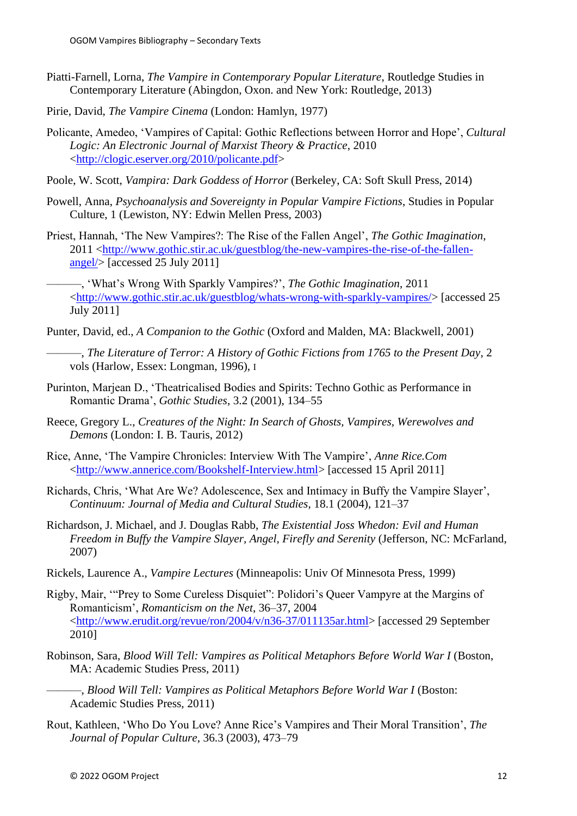- Piatti-Farnell, Lorna, *The Vampire in Contemporary Popular Literature*, Routledge Studies in Contemporary Literature (Abingdon, Oxon. and New York: Routledge, 2013)
- Pirie, David, *The Vampire Cinema* (London: Hamlyn, 1977)
- Policante, Amedeo, 'Vampires of Capital: Gothic Reflections between Horror and Hope', *Cultural Logic: An Electronic Journal of Marxist Theory & Practice*, 2010 [<http://clogic.eserver.org/2010/policante.pdf>](http://clogic.eserver.org/2010/policante.pdf)
- Poole, W. Scott, *Vampira: Dark Goddess of Horror* (Berkeley, CA: Soft Skull Press, 2014)
- Powell, Anna, *Psychoanalysis and Sovereignty in Popular Vampire Fictions*, Studies in Popular Culture, 1 (Lewiston, NY: Edwin Mellen Press, 2003)
- Priest, Hannah, 'The New Vampires?: The Rise of the Fallen Angel', *The Gothic Imagination*, 2011 [<http://www.gothic.stir.ac.uk/guestblog/the-new-vampires-the-rise-of-the-fallen](http://www.gothic.stir.ac.uk/guestblog/the-new-vampires-the-rise-of-the-fallen-angel/)[angel/>](http://www.gothic.stir.ac.uk/guestblog/the-new-vampires-the-rise-of-the-fallen-angel/) [accessed 25 July 2011]

———, 'What's Wrong With Sparkly Vampires?', *The Gothic Imagination*, 2011 [<http://www.gothic.stir.ac.uk/guestblog/whats-wrong-with-sparkly-vampires/>](http://www.gothic.stir.ac.uk/guestblog/whats-wrong-with-sparkly-vampires/) [accessed 25 July 2011]

- Punter, David, ed., *A Companion to the Gothic* (Oxford and Malden, MA: Blackwell, 2001)
	- ———, *The Literature of Terror: A History of Gothic Fictions from 1765 to the Present Day*, 2 vols (Harlow, Essex: Longman, 1996), I
- Purinton, Marjean D., 'Theatricalised Bodies and Spirits: Techno Gothic as Performance in Romantic Drama', *Gothic Studies*, 3.2 (2001), 134–55
- Reece, Gregory L., *Creatures of the Night: In Search of Ghosts, Vampires, Werewolves and Demons* (London: I. B. Tauris, 2012)
- Rice, Anne, 'The Vampire Chronicles: Interview With The Vampire', *Anne Rice.Com* [<http://www.annerice.com/Bookshelf-Interview.html>](http://www.annerice.com/Bookshelf-Interview.html) [accessed 15 April 2011]
- Richards, Chris, 'What Are We? Adolescence, Sex and Intimacy in Buffy the Vampire Slayer', *Continuum: Journal of Media and Cultural Studies*, 18.1 (2004), 121–37
- Richardson, J. Michael, and J. Douglas Rabb, *The Existential Joss Whedon: Evil and Human Freedom in Buffy the Vampire Slayer, Angel, Firefly and Serenity* (Jefferson, NC: McFarland, 2007)
- Rickels, Laurence A., *Vampire Lectures* (Minneapolis: Univ Of Minnesota Press, 1999)
- Rigby, Mair, '"Prey to Some Cureless Disquiet": Polidori's Queer Vampyre at the Margins of Romanticism', *Romanticism on the Net*, 36–37, 2004 [<http://www.erudit.org/revue/ron/2004/v/n36-37/011135ar.html>](http://www.erudit.org/revue/ron/2004/v/n36-37/011135ar.html) [accessed 29 September 2010]
- Robinson, Sara, *Blood Will Tell: Vampires as Political Metaphors Before World War I* (Boston, MA: Academic Studies Press, 2011)
	- ———, *Blood Will Tell: Vampires as Political Metaphors Before World War I* (Boston: Academic Studies Press, 2011)
- Rout, Kathleen, 'Who Do You Love? Anne Rice's Vampires and Their Moral Transition', *The Journal of Popular Culture*, 36.3 (2003), 473–79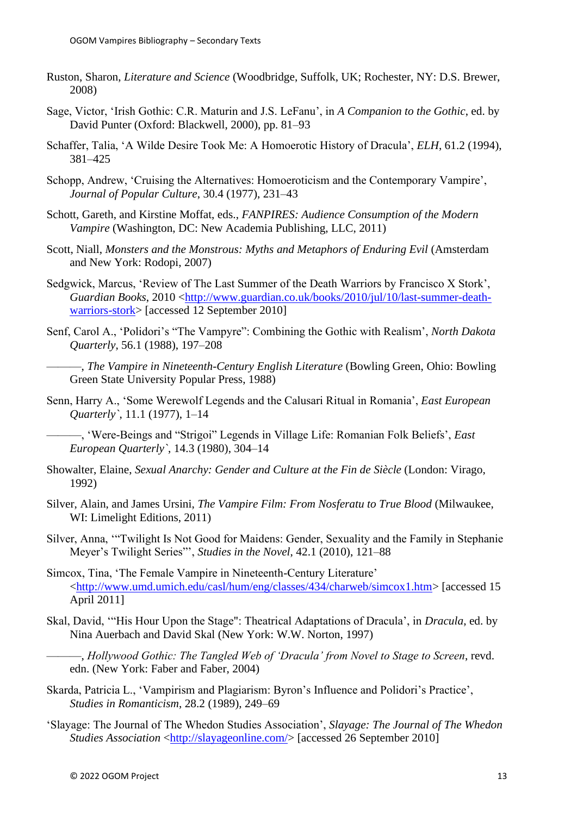- Ruston, Sharon, *Literature and Science* (Woodbridge, Suffolk, UK; Rochester, NY: D.S. Brewer, 2008)
- Sage, Victor, 'Irish Gothic: C.R. Maturin and J.S. LeFanu', in *A Companion to the Gothic*, ed. by David Punter (Oxford: Blackwell, 2000), pp. 81–93
- Schaffer, Talia, 'A Wilde Desire Took Me: A Homoerotic History of Dracula', *ELH*, 61.2 (1994), 381–425
- Schopp, Andrew, 'Cruising the Alternatives: Homoeroticism and the Contemporary Vampire', *Journal of Popular Culture*, 30.4 (1977), 231–43
- Schott, Gareth, and Kirstine Moffat, eds., *FANPIRES: Audience Consumption of the Modern Vampire* (Washington, DC: New Academia Publishing, LLC, 2011)
- Scott, Niall, *Monsters and the Monstrous: Myths and Metaphors of Enduring Evil* (Amsterdam and New York: Rodopi, 2007)
- Sedgwick, Marcus, 'Review of The Last Summer of the Death Warriors by Francisco X Stork', *Guardian Books*, 2010 [<http://www.guardian.co.uk/books/2010/jul/10/last-summer-death](http://www.guardian.co.uk/books/2010/jul/10/last-summer-death-warriors-stork)[warriors-stork>](http://www.guardian.co.uk/books/2010/jul/10/last-summer-death-warriors-stork) [accessed 12 September 2010]
- Senf, Carol A., 'Polidori's "The Vampyre": Combining the Gothic with Realism', *North Dakota Quarterly*, 56.1 (1988), 197–208
	- ———, *The Vampire in Nineteenth-Century English Literature* (Bowling Green, Ohio: Bowling Green State University Popular Press, 1988)
- Senn, Harry A., 'Some Werewolf Legends and the Calusari Ritual in Romania', *East European Quarterly`*, 11.1 (1977), 1–14

———, 'Were-Beings and "Strigoi" Legends in Village Life: Romanian Folk Beliefs', *East European Quarterly`*, 14.3 (1980), 304–14

- Showalter, Elaine, *Sexual Anarchy: Gender and Culture at the Fin de Siècle* (London: Virago, 1992)
- Silver, Alain, and James Ursini, *The Vampire Film: From Nosferatu to True Blood* (Milwaukee, WI: Limelight Editions, 2011)
- Silver, Anna, '"Twilight Is Not Good for Maidens: Gender, Sexuality and the Family in Stephanie Meyer's Twilight Series"', *Studies in the Novel*, 42.1 (2010), 121–88
- Simcox, Tina, 'The Female Vampire in Nineteenth-Century Literature' [<http://www.umd.umich.edu/casl/hum/eng/classes/434/charweb/simcox1.htm>](http://www.umd.umich.edu/casl/hum/eng/classes/434/charweb/simcox1.htm) [accessed 15 April 2011]
- Skal, David, '"His Hour Upon the Stage": Theatrical Adaptations of Dracula', in *Dracula*, ed. by Nina Auerbach and David Skal (New York: W.W. Norton, 1997)

———, *Hollywood Gothic: The Tangled Web of 'Dracula' from Novel to Stage to Screen*, revd. edn. (New York: Faber and Faber, 2004)

- Skarda, Patricia L., 'Vampirism and Plagiarism: Byron's Influence and Polidori's Practice', *Studies in Romanticism*, 28.2 (1989), 249–69
- 'Slayage: The Journal of The Whedon Studies Association', *Slayage: The Journal of The Whedon Studies Association* [<http://slayageonline.com/>](http://slayageonline.com/) [accessed 26 September 2010]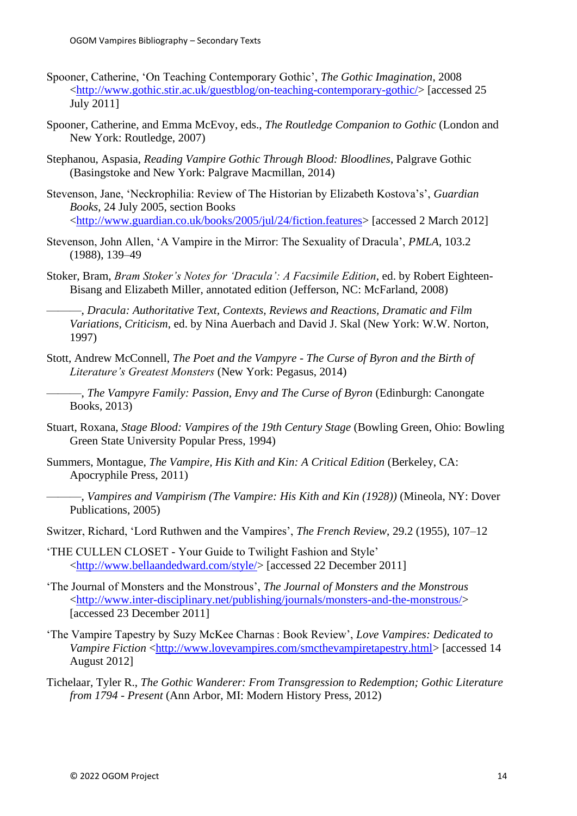- Spooner, Catherine, 'On Teaching Contemporary Gothic', *The Gothic Imagination*, 2008 [<http://www.gothic.stir.ac.uk/guestblog/on-teaching-contemporary-gothic/>](http://www.gothic.stir.ac.uk/guestblog/on-teaching-contemporary-gothic/) [accessed 25 July 2011]
- Spooner, Catherine, and Emma McEvoy, eds., *The Routledge Companion to Gothic* (London and New York: Routledge, 2007)
- Stephanou, Aspasia, *Reading Vampire Gothic Through Blood: Bloodlines*, Palgrave Gothic (Basingstoke and New York: Palgrave Macmillan, 2014)
- Stevenson, Jane, 'Neckrophilia: Review of The Historian by Elizabeth Kostova's', *Guardian Books*, 24 July 2005, section Books [<http://www.guardian.co.uk/books/2005/jul/24/fiction.features>](http://www.guardian.co.uk/books/2005/jul/24/fiction.features) [accessed 2 March 2012]
- Stevenson, John Allen, 'A Vampire in the Mirror: The Sexuality of Dracula', *PMLA*, 103.2 (1988), 139–49
- Stoker, Bram, *Bram Stoker's Notes for 'Dracula': A Facsimile Edition*, ed. by Robert Eighteen-Bisang and Elizabeth Miller, annotated edition (Jefferson, NC: McFarland, 2008)

———, *Dracula: Authoritative Text, Contexts, Reviews and Reactions, Dramatic and Film Variations, Criticism*, ed. by Nina Auerbach and David J. Skal (New York: W.W. Norton, 1997)

- Stott, Andrew McConnell, *The Poet and the Vampyre - The Curse of Byron and the Birth of Literature's Greatest Monsters* (New York: Pegasus, 2014)
- ———, *The Vampyre Family: Passion, Envy and The Curse of Byron* (Edinburgh: Canongate Books, 2013)
- Stuart, Roxana, *Stage Blood: Vampires of the 19th Century Stage* (Bowling Green, Ohio: Bowling Green State University Popular Press, 1994)
- Summers, Montague, *The Vampire, His Kith and Kin: A Critical Edition* (Berkeley, CA: Apocryphile Press, 2011)
- ———, *Vampires and Vampirism (The Vampire: His Kith and Kin (1928))* (Mineola, NY: Dover Publications, 2005)
- Switzer, Richard, 'Lord Ruthwen and the Vampires', *The French Review*, 29.2 (1955), 107–12
- 'THE CULLEN CLOSET Your Guide to Twilight Fashion and Style' [<http://www.bellaandedward.com/style/>](http://www.bellaandedward.com/style/) [accessed 22 December 2011]
- 'The Journal of Monsters and the Monstrous', *The Journal of Monsters and the Monstrous* [<http://www.inter-disciplinary.net/publishing/journals/monsters-and-the-monstrous/>](http://www.inter-disciplinary.net/publishing/journals/monsters-and-the-monstrous/) [accessed 23 December 2011]
- 'The Vampire Tapestry by Suzy McKee Charnas : Book Review', *Love Vampires: Dedicated to Vampire Fiction* [<http://www.lovevampires.com/smcthevampiretapestry.html>](http://www.lovevampires.com/smcthevampiretapestry.html) [accessed 14 August 2012]
- Tichelaar, Tyler R., *The Gothic Wanderer: From Transgression to Redemption; Gothic Literature from 1794 - Present* (Ann Arbor, MI: Modern History Press, 2012)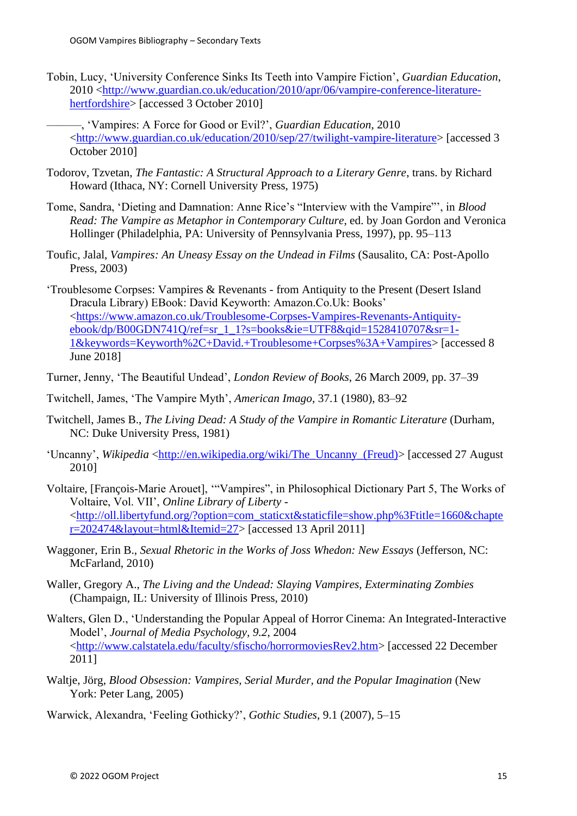Tobin, Lucy, 'University Conference Sinks Its Teeth into Vampire Fiction', *Guardian Education*, 2010 [<http://www.guardian.co.uk/education/2010/apr/06/vampire-conference-literature](http://www.guardian.co.uk/education/2010/apr/06/vampire-conference-literature-hertfordshire)[hertfordshire>](http://www.guardian.co.uk/education/2010/apr/06/vampire-conference-literature-hertfordshire) [accessed 3 October 2010]

———, 'Vampires: A Force for Good or Evil?', *Guardian Education*, 2010 [<http://www.guardian.co.uk/education/2010/sep/27/twilight-vampire-literature>](http://www.guardian.co.uk/education/2010/sep/27/twilight-vampire-literature) [accessed 3 October 2010]

- Todorov, Tzvetan, *The Fantastic: A Structural Approach to a Literary Genre*, trans. by Richard Howard (Ithaca, NY: Cornell University Press, 1975)
- Tome, Sandra, 'Dieting and Damnation: Anne Rice's "Interview with the Vampire"', in *Blood Read: The Vampire as Metaphor in Contemporary Culture*, ed. by Joan Gordon and Veronica Hollinger (Philadelphia, PA: University of Pennsylvania Press, 1997), pp. 95–113
- Toufic, Jalal, *Vampires: An Uneasy Essay on the Undead in Films* (Sausalito, CA: Post-Apollo Press, 2003)

'Troublesome Corpses: Vampires & Revenants - from Antiquity to the Present (Desert Island Dracula Library) EBook: David Keyworth: Amazon.Co.Uk: Books' [<https://www.amazon.co.uk/Troublesome-Corpses-Vampires-Revenants-Antiquity](https://www.amazon.co.uk/Troublesome-Corpses-Vampires-Revenants-Antiquity-ebook/dp/B00GDN741Q/ref=sr_1_1?s=books&ie=UTF8&qid=1528410707&sr=1-1&keywords=Keyworth%2C+David.+Troublesome+Corpses%3A+Vampires)[ebook/dp/B00GDN741Q/ref=sr\\_1\\_1?s=books&ie=UTF8&qid=1528410707&sr=1-](https://www.amazon.co.uk/Troublesome-Corpses-Vampires-Revenants-Antiquity-ebook/dp/B00GDN741Q/ref=sr_1_1?s=books&ie=UTF8&qid=1528410707&sr=1-1&keywords=Keyworth%2C+David.+Troublesome+Corpses%3A+Vampires) [1&keywords=Keyworth%2C+David.+Troublesome+Corpses%3A+Vampires>](https://www.amazon.co.uk/Troublesome-Corpses-Vampires-Revenants-Antiquity-ebook/dp/B00GDN741Q/ref=sr_1_1?s=books&ie=UTF8&qid=1528410707&sr=1-1&keywords=Keyworth%2C+David.+Troublesome+Corpses%3A+Vampires) [accessed 8 June 2018]

- Turner, Jenny, 'The Beautiful Undead', *London Review of Books*, 26 March 2009, pp. 37–39
- Twitchell, James, 'The Vampire Myth', *American Imago*, 37.1 (1980), 83–92
- Twitchell, James B., *The Living Dead: A Study of the Vampire in Romantic Literature* (Durham, NC: Duke University Press, 1981)
- 'Uncanny', *Wikipedia* <http://en.wikipedia.org/wiki/The\_Uncanny (Freud)> [accessed 27 August] 2010]
- Voltaire, [François-Marie Arouet], '"Vampires", in Philosophical Dictionary Part 5, The Works of Voltaire, Vol. VII', *Online Library of Liberty -* [<http://oll.libertyfund.org/?option=com\\_staticxt&staticfile=show.php%3Ftitle=1660&chapte](http://oll.libertyfund.org/?option=com_staticxt&staticfile=show.php%3Ftitle=1660&chapter=202474&layout=html&Itemid=27) [r=202474&layout=html&Itemid=27>](http://oll.libertyfund.org/?option=com_staticxt&staticfile=show.php%3Ftitle=1660&chapter=202474&layout=html&Itemid=27) [accessed 13 April 2011]
- Waggoner, Erin B., *Sexual Rhetoric in the Works of Joss Whedon: New Essays* (Jefferson, NC: McFarland, 2010)
- Waller, Gregory A., *The Living and the Undead: Slaying Vampires, Exterminating Zombies* (Champaign, IL: University of Illinois Press, 2010)
- Walters, Glen D., 'Understanding the Popular Appeal of Horror Cinema: An Integrated-Interactive Model', *Journal of Media Psychology, 9.2*, 2004 [<http://www.calstatela.edu/faculty/sfischo/horrormoviesRev2.htm>](http://www.calstatela.edu/faculty/sfischo/horrormoviesRev2.htm) [accessed 22 December 2011]
- Waltje, Jörg, *Blood Obsession: Vampires, Serial Murder, and the Popular Imagination* (New York: Peter Lang, 2005)

Warwick, Alexandra, 'Feeling Gothicky?', *Gothic Studies*, 9.1 (2007), 5–15